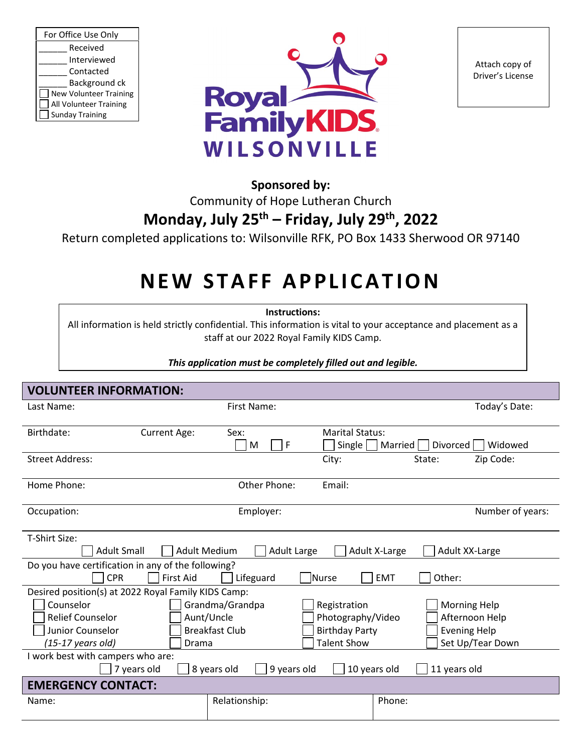| For Office Use Only           |  |  |
|-------------------------------|--|--|
| Received                      |  |  |
| Interviewed                   |  |  |
| Contacted                     |  |  |
| Background ck                 |  |  |
| <b>New Volunteer Training</b> |  |  |
| All Volunteer Training        |  |  |
| <b>Sunday Training</b>        |  |  |



Attach copy of Driver's License

### **Sponsored by:**

Community of Hope Lutheran Church

## **Monday, July 25th – Friday, July 29th , 2022**

Return completed applications to: Wilsonville RFK, PO Box 1433 Sherwood OR 97140

# **NEW STAFF APPLICATION**

**Instructions:**

All information is held strictly confidential. This information is vital to your acceptance and placement as a staff at our 2022 Royal Family KIDS Camp.

*This application must be completely filled out and legible.*

| <b>VOLUNTEER INFORMATION:</b>                                                                                                                           |                                                        |                                                                                  |                                                                                  |  |
|---------------------------------------------------------------------------------------------------------------------------------------------------------|--------------------------------------------------------|----------------------------------------------------------------------------------|----------------------------------------------------------------------------------|--|
| Last Name:                                                                                                                                              | First Name:                                            |                                                                                  | Today's Date:                                                                    |  |
| Birthdate:<br>Current Age:                                                                                                                              | Sex:<br>F<br>M                                         | <b>Marital Status:</b><br>Single  <br>Married                                    | <b>Divorced</b><br>Widowed                                                       |  |
| <b>Street Address:</b>                                                                                                                                  |                                                        | City:                                                                            | Zip Code:<br>State:                                                              |  |
| Home Phone:                                                                                                                                             | Other Phone:                                           | Email:                                                                           |                                                                                  |  |
| Occupation:                                                                                                                                             | Employer:                                              |                                                                                  | Number of years:                                                                 |  |
| T-Shirt Size:<br><b>Adult Small</b><br><b>Adult Large</b><br><b>Adult Medium</b><br>Adult X-Large<br>Adult XX-Large                                     |                                                        |                                                                                  |                                                                                  |  |
| Do you have certification in any of the following?<br><b>CPR</b><br><b>First Aid</b><br>Lifeguard<br>Other:<br><b>Nurse</b><br><b>EMT</b>               |                                                        |                                                                                  |                                                                                  |  |
| Desired position(s) at 2022 Royal Family KIDS Camp:<br>Counselor<br><b>Relief Counselor</b><br>Junior Counselor<br>$(15-17 \text{ years old})$<br>Drama | Grandma/Grandpa<br>Aunt/Uncle<br><b>Breakfast Club</b> | Registration<br>Photography/Video<br><b>Birthday Party</b><br><b>Talent Show</b> | <b>Morning Help</b><br>Afternoon Help<br><b>Evening Help</b><br>Set Up/Tear Down |  |
| I work best with campers who are:<br>8 years old<br>9 years old<br>10 years old<br>11 years old<br>7 years old                                          |                                                        |                                                                                  |                                                                                  |  |
| <b>EMERGENCY CONTACT:</b>                                                                                                                               |                                                        |                                                                                  |                                                                                  |  |
| Name:                                                                                                                                                   | Relationship:                                          | Phone:                                                                           |                                                                                  |  |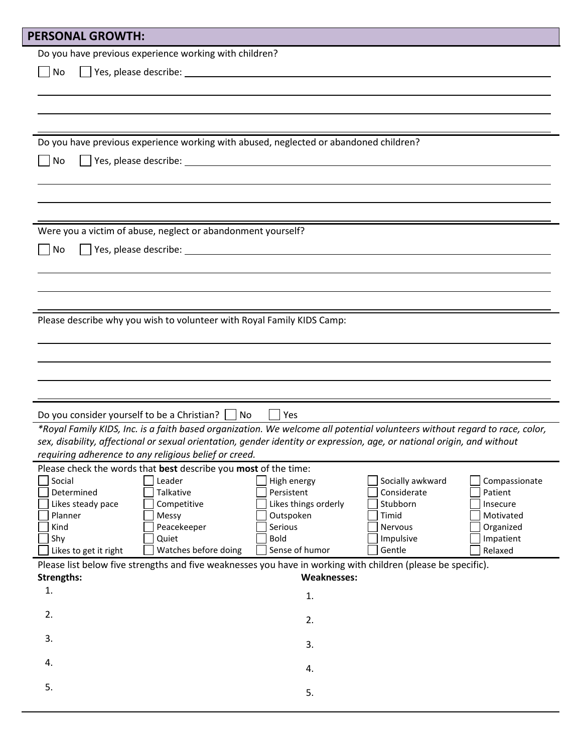| <b>PERSONAL GROWTH:</b>                               |                                                                                                                                                                                                                                |                           |                                 |                          |
|-------------------------------------------------------|--------------------------------------------------------------------------------------------------------------------------------------------------------------------------------------------------------------------------------|---------------------------|---------------------------------|--------------------------|
|                                                       | Do you have previous experience working with children?                                                                                                                                                                         |                           |                                 |                          |
| No                                                    | Ves, please describe: 1999 and 2009 and 2009 and 2009 and 2009 and 2009 and 2009 and 2009 and 2009 and 2009 and 2009 and 2009 and 2009 and 2009 and 2009 and 2009 and 2009 and 2009 and 2009 and 2009 and 2009 and 2009 and 20 |                           |                                 |                          |
|                                                       |                                                                                                                                                                                                                                |                           |                                 |                          |
|                                                       |                                                                                                                                                                                                                                |                           |                                 |                          |
|                                                       |                                                                                                                                                                                                                                |                           |                                 |                          |
|                                                       |                                                                                                                                                                                                                                |                           |                                 |                          |
|                                                       | Do you have previous experience working with abused, neglected or abandoned children?                                                                                                                                          |                           |                                 |                          |
| No                                                    | Ves, please describe: 1999 and 2009 and 2009 and 2009 and 2009 and 2009 and 2009 and 2009 and 2009 and 2009 and 2009 and 2009 and 2009 and 2009 and 2009 and 2009 and 2009 and 2009 and 2009 and 2009 and 2009 and 2009 and 20 |                           |                                 |                          |
|                                                       |                                                                                                                                                                                                                                |                           |                                 |                          |
|                                                       |                                                                                                                                                                                                                                |                           |                                 |                          |
|                                                       |                                                                                                                                                                                                                                |                           |                                 |                          |
|                                                       |                                                                                                                                                                                                                                |                           |                                 |                          |
|                                                       | Were you a victim of abuse, neglect or abandonment yourself?                                                                                                                                                                   |                           |                                 |                          |
| No                                                    |                                                                                                                                                                                                                                |                           |                                 |                          |
|                                                       |                                                                                                                                                                                                                                |                           |                                 |                          |
|                                                       |                                                                                                                                                                                                                                |                           |                                 |                          |
|                                                       |                                                                                                                                                                                                                                |                           |                                 |                          |
|                                                       |                                                                                                                                                                                                                                |                           |                                 |                          |
|                                                       | Please describe why you wish to volunteer with Royal Family KIDS Camp:                                                                                                                                                         |                           |                                 |                          |
|                                                       |                                                                                                                                                                                                                                |                           |                                 |                          |
|                                                       |                                                                                                                                                                                                                                |                           |                                 |                          |
|                                                       |                                                                                                                                                                                                                                |                           |                                 |                          |
|                                                       |                                                                                                                                                                                                                                |                           |                                 |                          |
|                                                       |                                                                                                                                                                                                                                |                           |                                 |                          |
|                                                       | Do you consider yourself to be a Christian?<br>Yes<br>No                                                                                                                                                                       |                           |                                 |                          |
|                                                       | *Royal Family KIDS, Inc. is a faith based organization. We welcome all potential volunteers without regard to race, color,                                                                                                     |                           |                                 |                          |
|                                                       | sex, disability, affectional or sexual orientation, gender identity or expression, age, or national origin, and without                                                                                                        |                           |                                 |                          |
| requiring adherence to any religious belief or creed. |                                                                                                                                                                                                                                |                           |                                 |                          |
|                                                       | Please check the words that best describe you most of the time:                                                                                                                                                                |                           |                                 |                          |
| Social<br>Determined                                  | Leader<br>Talkative                                                                                                                                                                                                            | High energy<br>Persistent | Socially awkward<br>Considerate | Compassionate<br>Patient |
| Likes steady pace                                     | Competitive                                                                                                                                                                                                                    | Likes things orderly      | Stubborn                        | Insecure                 |
| Planner                                               | Messy                                                                                                                                                                                                                          | Outspoken                 | Timid                           | Motivated                |
| Kind                                                  | Peacekeeper                                                                                                                                                                                                                    | Serious                   | Nervous                         | Organized                |
| Shy                                                   | Quiet                                                                                                                                                                                                                          | <b>Bold</b>               | Impulsive                       | Impatient                |
| Likes to get it right                                 | Watches before doing                                                                                                                                                                                                           | Sense of humor            | Gentle                          | Relaxed                  |
|                                                       | Please list below five strengths and five weaknesses you have in working with children (please be specific).                                                                                                                   |                           |                                 |                          |
| <b>Strengths:</b>                                     |                                                                                                                                                                                                                                | <b>Weaknesses:</b>        |                                 |                          |
| 1.                                                    |                                                                                                                                                                                                                                | 1.                        |                                 |                          |
| 2.                                                    |                                                                                                                                                                                                                                |                           |                                 |                          |
|                                                       |                                                                                                                                                                                                                                | 2.                        |                                 |                          |
| 3.                                                    |                                                                                                                                                                                                                                | 3.                        |                                 |                          |
|                                                       |                                                                                                                                                                                                                                |                           |                                 |                          |
| 4.                                                    |                                                                                                                                                                                                                                | 4.                        |                                 |                          |
| 5.                                                    |                                                                                                                                                                                                                                |                           |                                 |                          |
|                                                       |                                                                                                                                                                                                                                | 5.                        |                                 |                          |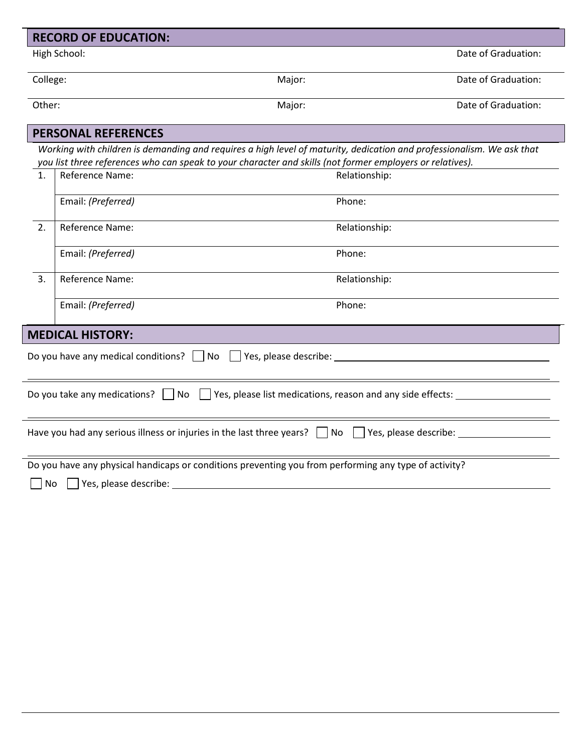|           | <b>RECORD OF EDUCATION:</b> |                                                                                                                                                                                                                                    |                     |
|-----------|-----------------------------|------------------------------------------------------------------------------------------------------------------------------------------------------------------------------------------------------------------------------------|---------------------|
|           | High School:                |                                                                                                                                                                                                                                    | Date of Graduation: |
| College:  |                             | Major:                                                                                                                                                                                                                             | Date of Graduation: |
| Other:    |                             | Major:                                                                                                                                                                                                                             | Date of Graduation: |
|           | <b>PERSONAL REFERENCES</b>  |                                                                                                                                                                                                                                    |                     |
|           |                             | Working with children is demanding and requires a high level of maturity, dedication and professionalism. We ask that<br>you list three references who can speak to your character and skills (not former employers or relatives). |                     |
| 1.        | Reference Name:             | Relationship:                                                                                                                                                                                                                      |                     |
|           | Email: (Preferred)          | Phone:                                                                                                                                                                                                                             |                     |
| 2.        | Reference Name:             | Relationship:                                                                                                                                                                                                                      |                     |
|           | Email: (Preferred)          | Phone:                                                                                                                                                                                                                             |                     |
| 3.        | Reference Name:             | Relationship:                                                                                                                                                                                                                      |                     |
|           | Email: (Preferred)          | Phone:                                                                                                                                                                                                                             |                     |
|           | <b>MEDICAL HISTORY:</b>     |                                                                                                                                                                                                                                    |                     |
|           |                             | Do you have any medical conditions? $\Box$ No $\Box$ Yes, please describe:                                                                                                                                                         |                     |
|           |                             | Do you take any medications? No Nes, please list medications, reason and any side effects:                                                                                                                                         |                     |
|           |                             | Have you had any serious illness or injuries in the last three years? $\Box$ No $\Box$ Yes, please describe:                                                                                                                       |                     |
|           |                             | Do you have any physical handicaps or conditions preventing you from performing any type of activity?                                                                                                                              |                     |
| <b>No</b> | Yes, please describe:       |                                                                                                                                                                                                                                    |                     |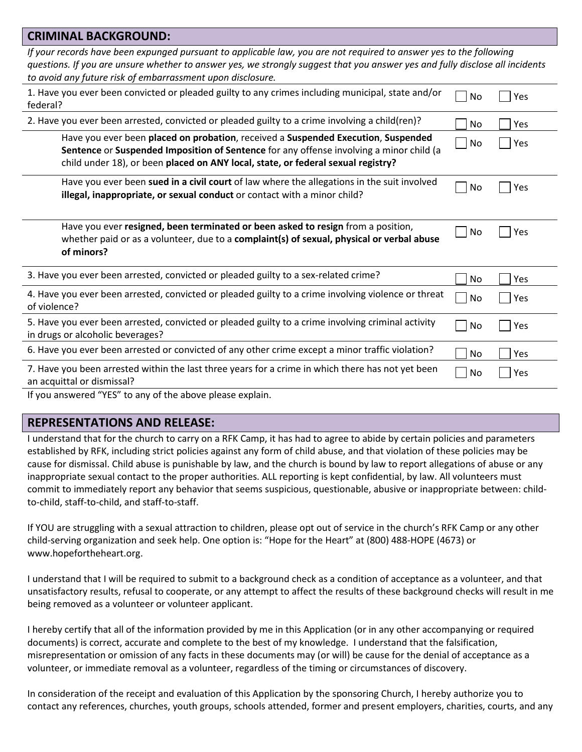| <b>CRIMINAL BACKGROUND:</b>                                                                                                                                                                                                                                                                                      |           |     |  |
|------------------------------------------------------------------------------------------------------------------------------------------------------------------------------------------------------------------------------------------------------------------------------------------------------------------|-----------|-----|--|
| If your records have been expunged pursuant to applicable law, you are not required to answer yes to the following<br>questions. If you are unsure whether to answer yes, we strongly suggest that you answer yes and fully disclose all incidents<br>to avoid any future risk of embarrassment upon disclosure. |           |     |  |
| 1. Have you ever been convicted or pleaded guilty to any crimes including municipal, state and/or<br>federal?                                                                                                                                                                                                    | No        | Yes |  |
| 2. Have you ever been arrested, convicted or pleaded guilty to a crime involving a child(ren)?                                                                                                                                                                                                                   | <b>No</b> | Yes |  |
| Have you ever been placed on probation, received a Suspended Execution, Suspended<br>Sentence or Suspended Imposition of Sentence for any offense involving a minor child (a<br>child under 18), or been placed on ANY local, state, or federal sexual registry?                                                 | No        | Yes |  |
| Have you ever been sued in a civil court of law where the allegations in the suit involved<br>illegal, inappropriate, or sexual conduct or contact with a minor child?                                                                                                                                           | No        | Yes |  |
| Have you ever resigned, been terminated or been asked to resign from a position,<br>whether paid or as a volunteer, due to a complaint(s) of sexual, physical or verbal abuse<br>of minors?                                                                                                                      | No        | Yes |  |
| 3. Have you ever been arrested, convicted or pleaded guilty to a sex-related crime?                                                                                                                                                                                                                              | No        | Yes |  |
| 4. Have you ever been arrested, convicted or pleaded guilty to a crime involving violence or threat<br>of violence?                                                                                                                                                                                              | No        | Yes |  |
| 5. Have you ever been arrested, convicted or pleaded guilty to a crime involving criminal activity<br>in drugs or alcoholic beverages?                                                                                                                                                                           | No        | Yes |  |
| 6. Have you ever been arrested or convicted of any other crime except a minor traffic violation?                                                                                                                                                                                                                 | No        | Yes |  |
| 7. Have you been arrested within the last three years for a crime in which there has not yet been<br>an acquittal or dismissal?                                                                                                                                                                                  | No        | Yes |  |
| If you answered "YES" to any of the above please explain.                                                                                                                                                                                                                                                        |           |     |  |

#### **REPRESENTATIONS AND RELEASE:**

I understand that for the church to carry on a RFK Camp, it has had to agree to abide by certain policies and parameters established by RFK, including strict policies against any form of child abuse, and that violation of these policies may be cause for dismissal. Child abuse is punishable by law, and the church is bound by law to report allegations of abuse or any inappropriate sexual contact to the proper authorities. ALL reporting is kept confidential, by law. All volunteers must commit to immediately report any behavior that seems suspicious, questionable, abusive or inappropriate between: childto-child, staff-to-child, and staff-to-staff.

If YOU are struggling with a sexual attraction to children, please opt out of service in the church's RFK Camp or any other child-serving organization and seek help. One option is: "Hope for the Heart" at (800) 488-HOPE (4673) or www.hopefortheheart.org.

I understand that I will be required to submit to a background check as a condition of acceptance as a volunteer, and that unsatisfactory results, refusal to cooperate, or any attempt to affect the results of these background checks will result in me being removed as a volunteer or volunteer applicant.

I hereby certify that all of the information provided by me in this Application (or in any other accompanying or required documents) is correct, accurate and complete to the best of my knowledge. I understand that the falsification, misrepresentation or omission of any facts in these documents may (or will) be cause for the denial of acceptance as a volunteer, or immediate removal as a volunteer, regardless of the timing or circumstances of discovery.

In consideration of the receipt and evaluation of this Application by the sponsoring Church, I hereby authorize you to contact any references, churches, youth groups, schools attended, former and present employers, charities, courts, and any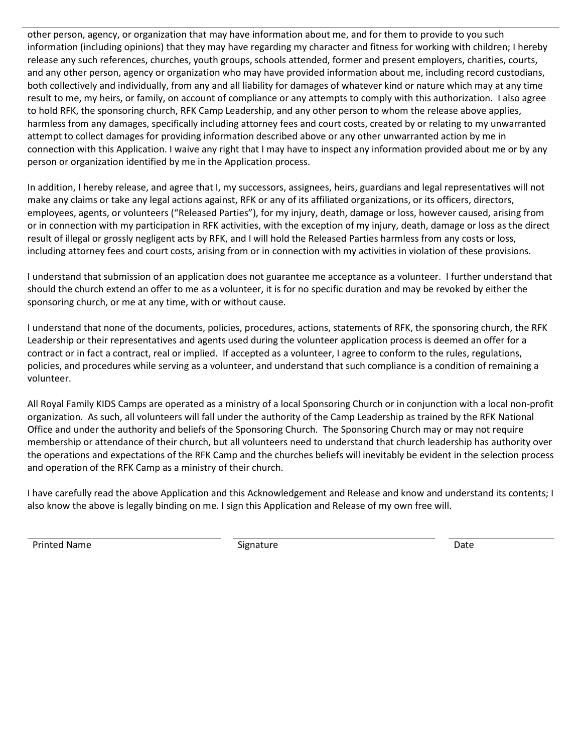other person, agency, or organization that may have information about me, and for them to provide to you such information (including opinions) that they may have regarding my character and fitness for working with children; I hereby release any such references, churches, youth groups, schools attended, former and present employers, charities, courts, and any other person, agency or organization who may have provided information about me, including record custodians, both collectively and individually, from any and all liability for damages of whatever kind or nature which may at any time result to me, my heirs, or family, on account of compliance or any attempts to comply with this authorization. I also agree to hold RFK, the sponsoring church, RFK Camp Leadership, and any other person to whom the release above applies, harmless from any damages, specifically including attorney fees and court costs, created by or relating to my unwarranted attempt to collect damages for providing information described above or any other unwarranted action by me in connection with this Application. I waive any right that I may have to inspect any information provided about me or by any person or organization identified by me in the Application process.

In addition, I hereby release, and agree that I, my successors, assignees, heirs, guardians and legal representatives will not make any claims or take any legal actions against, RFK or any of its affiliated organizations, or its officers, directors, employees, agents, or volunteers ("Released Parties"), for my injury, death, damage or loss, however caused, arising from or in connection with my participation in RFK activities, with the exception of my injury, death, damage or loss as the direct result of illegal or grossly negligent acts by RFK, and I will hold the Released Parties harmless from any costs or loss, including attorney fees and court costs, arising from or in connection with my activities in violation of these provisions.

I understand that submission of an application does not guarantee me acceptance as a volunteer. I further understand that should the church extend an offer to me as a volunteer, it is for no specific duration and may be revoked by either the sponsoring church, or me at any time, with or without cause.

I understand that none of the documents, policies, procedures, actions, statements of RFK, the sponsoring church, the RFK Leadership or their representatives and agents used during the volunteer application process is deemed an offer for a contract or in fact a contract, real or implied. If accepted as a volunteer, I agree to conform to the rules, regulations, policies, and procedures while serving as a volunteer, and understand that such compliance is a condition of remaining a volunteer.

All Royal Family KIDS Camps are operated as a ministry of a local Sponsoring Church or in conjunction with a local non-profit organization. As such, all volunteers will fall under the authority of the Camp Leadership as trained by the RFK National Office and under the authority and beliefs of the Sponsoring Church. The Sponsoring Church may or may not require membership or attendance of their church, but all volunteers need to understand that church leadership has authority over the operations and expectations of the RFK Camp and the churches beliefs will inevitably be evident in the selection process and operation of the RFK Camp as a ministry of their church.

I have carefully read the above Application and this Acknowledgement and Release and know and understand its contents; I also know the above is legally binding on me. I sign this Application and Release of my own free will.

Printed Name **Signature Signature Signature Constanting System Constanting Constanting Constanting Constanting Constanting Constanting Constanting Constanting Constanting Constanting Constanting Constanting Constan**